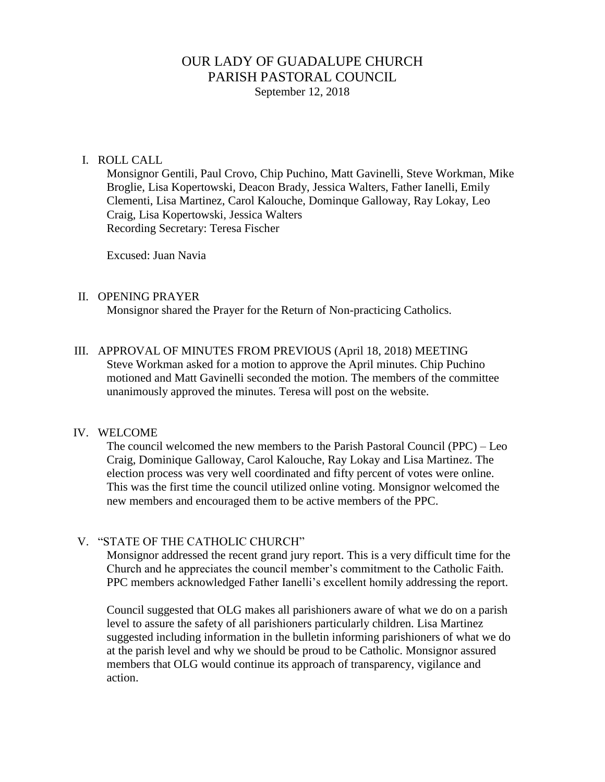# OUR LADY OF GUADALUPE CHURCH PARISH PASTORAL COUNCIL September 12, 2018

#### I. ROLL CALL

Monsignor Gentili, Paul Crovo, Chip Puchino, Matt Gavinelli, Steve Workman, Mike Broglie, Lisa Kopertowski, Deacon Brady, Jessica Walters, Father Ianelli, Emily Clementi, Lisa Martinez, Carol Kalouche, Dominque Galloway, Ray Lokay, Leo Craig, Lisa Kopertowski, Jessica Walters Recording Secretary: Teresa Fischer

Excused: Juan Navia

#### II. OPENING PRAYER

Monsignor shared the Prayer for the Return of Non-practicing Catholics.

III. APPROVAL OF MINUTES FROM PREVIOUS (April 18, 2018) MEETING Steve Workman asked for a motion to approve the April minutes. Chip Puchino motioned and Matt Gavinelli seconded the motion. The members of the committee unanimously approved the minutes. Teresa will post on the website.

#### IV. WELCOME

The council welcomed the new members to the Parish Pastoral Council (PPC) – Leo Craig, Dominique Galloway, Carol Kalouche, Ray Lokay and Lisa Martinez. The election process was very well coordinated and fifty percent of votes were online. This was the first time the council utilized online voting. Monsignor welcomed the new members and encouraged them to be active members of the PPC.

### V. "STATE OF THE CATHOLIC CHURCH"

Monsignor addressed the recent grand jury report. This is a very difficult time for the Church and he appreciates the council member's commitment to the Catholic Faith. PPC members acknowledged Father Ianelli's excellent homily addressing the report.

Council suggested that OLG makes all parishioners aware of what we do on a parish level to assure the safety of all parishioners particularly children. Lisa Martinez suggested including information in the bulletin informing parishioners of what we do at the parish level and why we should be proud to be Catholic. Monsignor assured members that OLG would continue its approach of transparency, vigilance and action.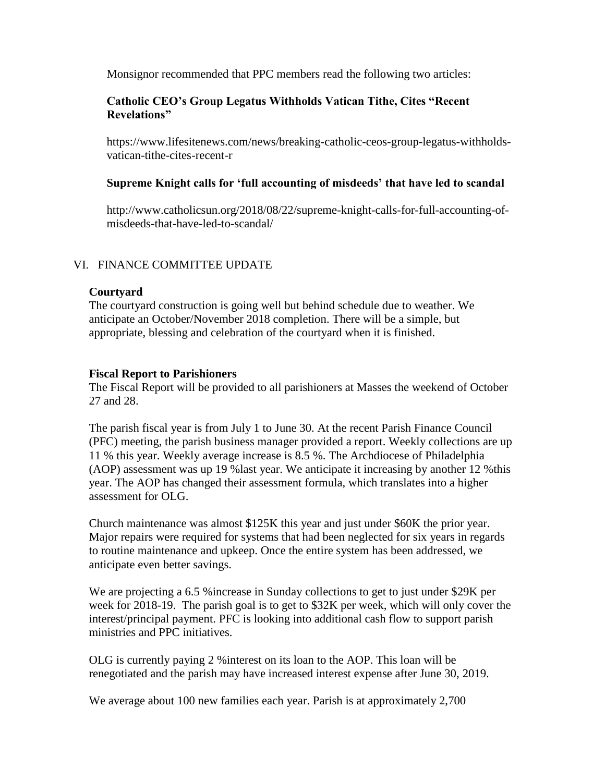Monsignor recommended that PPC members read the following two articles:

## **Catholic CEO's Group Legatus Withholds Vatican Tithe, Cites "Recent Revelations"**

[https://www.lifesitenews.com/news/breaking-catholic-ceos-group-legatus-withholds](https://www.lifesitenews.com/news/breaking-catholic-ceos-group-legatus-withholds-vatican-tithe-cites-recent-r)[vatican-tithe-cites-recent-r](https://www.lifesitenews.com/news/breaking-catholic-ceos-group-legatus-withholds-vatican-tithe-cites-recent-r)

### **Supreme Knight calls for 'full accounting of misdeeds' that have led to scandal**

http://www.catholicsun.org/2018/08/22/supreme-knight-calls-for-full-accounting-ofmisdeeds-that-have-led-to-scandal/

## VI. FINANCE COMMITTEE UPDATE

### **Courtyard**

The courtyard construction is going well but behind schedule due to weather. We anticipate an October/November 2018 completion. There will be a simple, but appropriate, blessing and celebration of the courtyard when it is finished.

## **Fiscal Report to Parishioners**

The Fiscal Report will be provided to all parishioners at Masses the weekend of October 27 and 28.

The parish fiscal year is from July 1 to June 30. At the recent Parish Finance Council (PFC) meeting, the parish business manager provided a report. Weekly collections are up 11 % this year. Weekly average increase is 8.5 %. The Archdiocese of Philadelphia (AOP) assessment was up 19 %last year. We anticipate it increasing by another 12 %this year. The AOP has changed their assessment formula, which translates into a higher assessment for OLG.

Church maintenance was almost \$125K this year and just under \$60K the prior year. Major repairs were required for systems that had been neglected for six years in regards to routine maintenance and upkeep. Once the entire system has been addressed, we anticipate even better savings.

We are projecting a 6.5 %increase in Sunday collections to get to just under \$29K per week for 2018-19. The parish goal is to get to \$32K per week, which will only cover the interest/principal payment. PFC is looking into additional cash flow to support parish ministries and PPC initiatives.

OLG is currently paying 2 %interest on its loan to the AOP. This loan will be renegotiated and the parish may have increased interest expense after June 30, 2019.

We average about 100 new families each year. Parish is at approximately 2,700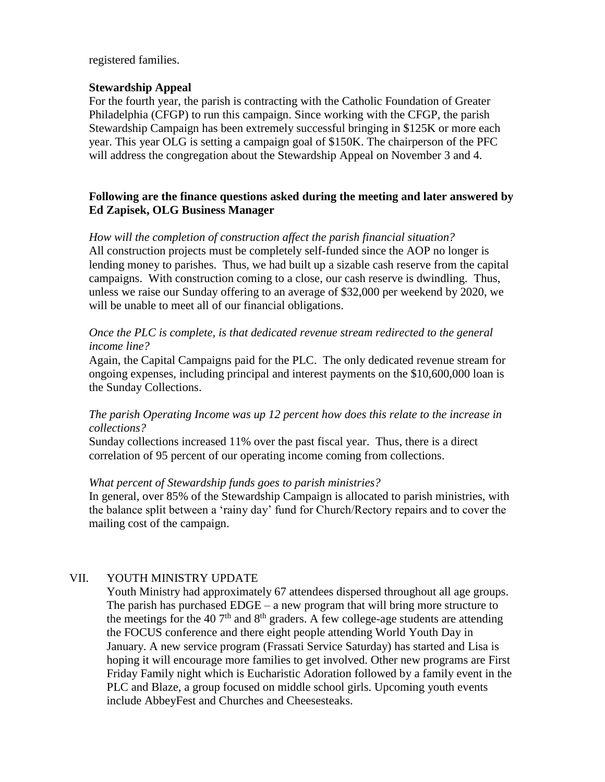registered families.

### **Stewardship Appeal**

For the fourth year, the parish is contracting with the Catholic Foundation of Greater Philadelphia (CFGP) to run this campaign. Since working with the CFGP, the parish Stewardship Campaign has been extremely successful bringing in \$125K or more each year. This year OLG is setting a campaign goal of \$150K. The chairperson of the PFC will address the congregation about the Stewardship Appeal on November 3 and 4.

## **Following are the finance questions asked during the meeting and later answered by Ed Zapisek, OLG Business Manager**

*How will the completion of construction affect the parish financial situation?* All construction projects must be completely self-funded since the AOP no longer is lending money to parishes. Thus, we had built up a sizable cash reserve from the capital campaigns. With construction coming to a close, our cash reserve is dwindling. Thus, unless we raise our Sunday offering to an average of \$32,000 per weekend by 2020, we will be unable to meet all of our financial obligations.

### *Once the PLC is complete, is that dedicated revenue stream redirected to the general income line?*

Again, the Capital Campaigns paid for the PLC. The only dedicated revenue stream for ongoing expenses, including principal and interest payments on the \$10,600,000 loan is the Sunday Collections.

### *The parish Operating Income was up 12 percent how does this relate to the increase in collections?*

Sunday collections increased 11% over the past fiscal year. Thus, there is a direct correlation of 95 percent of our operating income coming from collections.

### *What percent of Stewardship funds goes to parish ministries?*

In general, over 85% of the Stewardship Campaign is allocated to parish ministries, with the balance split between a 'rainy day' fund for Church/Rectory repairs and to cover the mailing cost of the campaign.

# VII. YOUTH MINISTRY UPDATE

Youth Ministry had approximately 67 attendees dispersed throughout all age groups. The parish has purchased EDGE – a new program that will bring more structure to the meetings for the 40  $7<sup>th</sup>$  and  $8<sup>th</sup>$  graders. A few college-age students are attending the FOCUS conference and there eight people attending World Youth Day in January. A new service program (Frassati Service Saturday) has started and Lisa is hoping it will encourage more families to get involved. Other new programs are First Friday Family night which is Eucharistic Adoration followed by a family event in the PLC and Blaze, a group focused on middle school girls. Upcoming youth events include AbbeyFest and Churches and Cheesesteaks.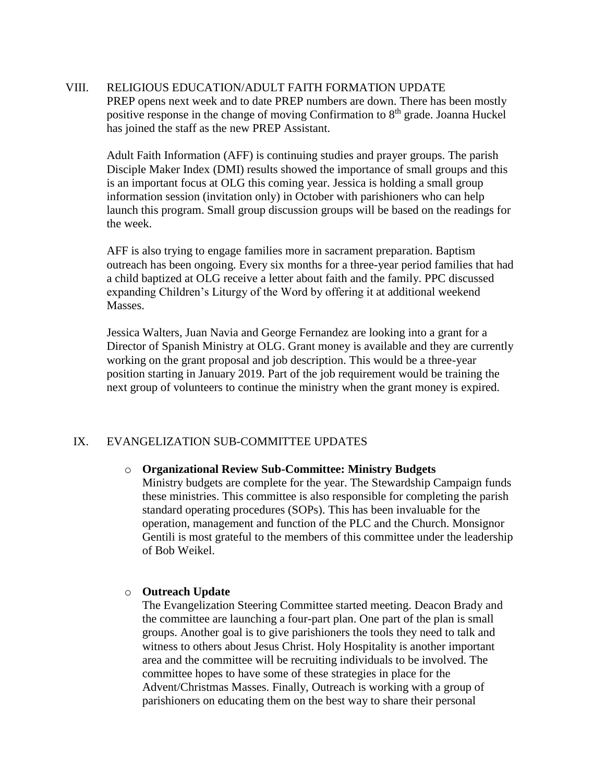VIII. RELIGIOUS EDUCATION/ADULT FAITH FORMATION UPDATE PREP opens next week and to date PREP numbers are down. There has been mostly positive response in the change of moving Confirmation to 8<sup>th</sup> grade. Joanna Huckel has joined the staff as the new PREP Assistant.

Adult Faith Information (AFF) is continuing studies and prayer groups. The parish Disciple Maker Index (DMI) results showed the importance of small groups and this is an important focus at OLG this coming year. Jessica is holding a small group information session (invitation only) in October with parishioners who can help launch this program. Small group discussion groups will be based on the readings for the week.

AFF is also trying to engage families more in sacrament preparation. Baptism outreach has been ongoing. Every six months for a three-year period families that had a child baptized at OLG receive a letter about faith and the family. PPC discussed expanding Children's Liturgy of the Word by offering it at additional weekend Masses.

Jessica Walters, Juan Navia and George Fernandez are looking into a grant for a Director of Spanish Ministry at OLG. Grant money is available and they are currently working on the grant proposal and job description. This would be a three-year position starting in January 2019. Part of the job requirement would be training the next group of volunteers to continue the ministry when the grant money is expired.

# IX. EVANGELIZATION SUB-COMMITTEE UPDATES

#### o **Organizational Review Sub-Committee: Ministry Budgets**

Ministry budgets are complete for the year. The Stewardship Campaign funds these ministries. This committee is also responsible for completing the parish standard operating procedures (SOPs). This has been invaluable for the operation, management and function of the PLC and the Church. Monsignor Gentili is most grateful to the members of this committee under the leadership of Bob Weikel.

#### o **Outreach Update**

The Evangelization Steering Committee started meeting. Deacon Brady and the committee are launching a four-part plan. One part of the plan is small groups. Another goal is to give parishioners the tools they need to talk and witness to others about Jesus Christ. Holy Hospitality is another important area and the committee will be recruiting individuals to be involved. The committee hopes to have some of these strategies in place for the Advent/Christmas Masses. Finally, Outreach is working with a group of parishioners on educating them on the best way to share their personal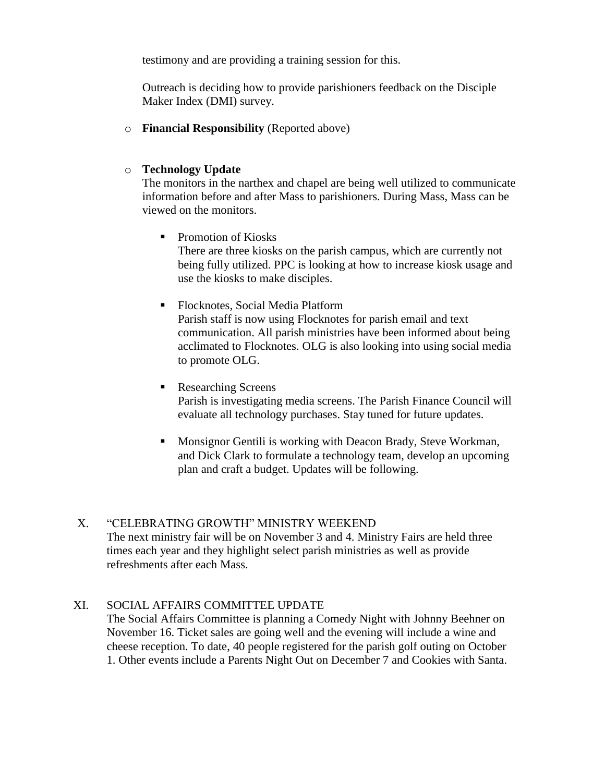testimony and are providing a training session for this.

Outreach is deciding how to provide parishioners feedback on the Disciple Maker Index (DMI) survey.

o **Financial Responsibility** (Reported above)

## o **Technology Update**

The monitors in the narthex and chapel are being well utilized to communicate information before and after Mass to parishioners. During Mass, Mass can be viewed on the monitors.

• Promotion of Kiosks

There are three kiosks on the parish campus, which are currently not being fully utilized. PPC is looking at how to increase kiosk usage and use the kiosks to make disciples.

- Flocknotes, Social Media Platform Parish staff is now using Flocknotes for parish email and text communication. All parish ministries have been informed about being acclimated to Flocknotes. OLG is also looking into using social media to promote OLG.
- Researching Screens Parish is investigating media screens. The Parish Finance Council will evaluate all technology purchases. Stay tuned for future updates.
	- Monsignor Gentili is working with Deacon Brady, Steve Workman, and Dick Clark to formulate a technology team, develop an upcoming plan and craft a budget. Updates will be following.

# X. "CELEBRATING GROWTH" MINISTRY WEEKEND The next ministry fair will be on November 3 and 4. Ministry Fairs are held three times each year and they highlight select parish ministries as well as provide refreshments after each Mass.

# XI. SOCIAL AFFAIRS COMMITTEE UPDATE

The Social Affairs Committee is planning a Comedy Night with Johnny Beehner on November 16. Ticket sales are going well and the evening will include a wine and cheese reception. To date, 40 people registered for the parish golf outing on October 1. Other events include a Parents Night Out on December 7 and Cookies with Santa.